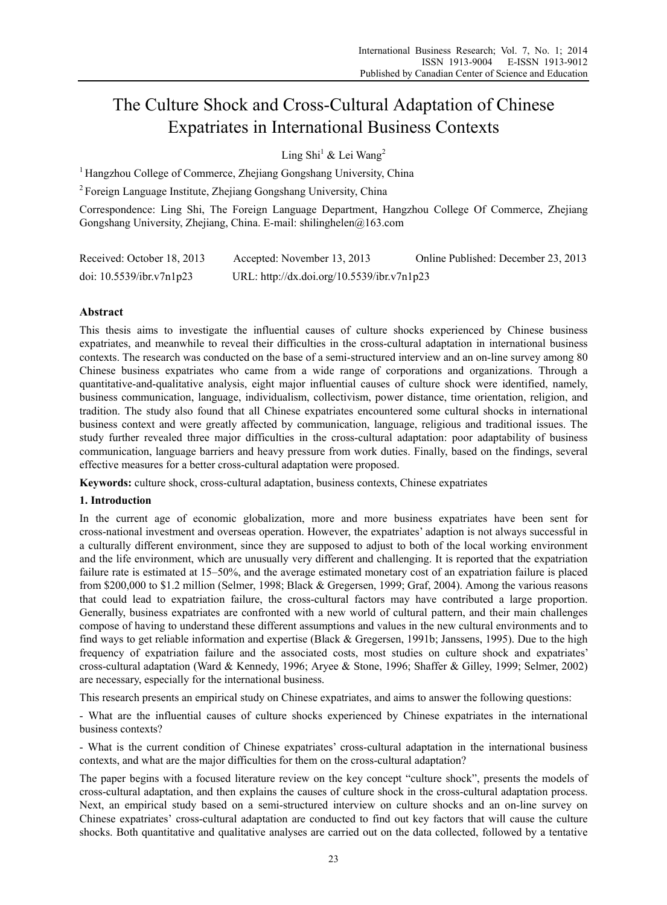# The Culture Shock and Cross-Cultural Adaptation of Chinese Expatriates in International Business Contexts

Ling Shi<sup>1</sup> & Lei Wang<sup>2</sup>

<sup>1</sup> Hangzhou College of Commerce, Zhejiang Gongshang University, China

2 Foreign Language Institute, Zhejiang Gongshang University, China

Correspondence: Ling Shi, The Foreign Language Department, Hangzhou College Of Commerce, Zhejiang Gongshang University, Zhejiang, China. E-mail: shilinghelen@163.com

| Received: October 18, 2013  | Accepted: November 13, 2013                | Online Published: December 23, 2013 |
|-----------------------------|--------------------------------------------|-------------------------------------|
| doi: $10.5539$ /ibr.v7n1p23 | URL: http://dx.doi.org/10.5539/ibr.v7n1p23 |                                     |

# **Abstract**

This thesis aims to investigate the influential causes of culture shocks experienced by Chinese business expatriates, and meanwhile to reveal their difficulties in the cross-cultural adaptation in international business contexts. The research was conducted on the base of a semi-structured interview and an on-line survey among 80 Chinese business expatriates who came from a wide range of corporations and organizations. Through a quantitative-and-qualitative analysis, eight major influential causes of culture shock were identified, namely, business communication, language, individualism, collectivism, power distance, time orientation, religion, and tradition. The study also found that all Chinese expatriates encountered some cultural shocks in international business context and were greatly affected by communication, language, religious and traditional issues. The study further revealed three major difficulties in the cross-cultural adaptation: poor adaptability of business communication, language barriers and heavy pressure from work duties. Finally, based on the findings, several effective measures for a better cross-cultural adaptation were proposed.

**Keywords:** culture shock, cross-cultural adaptation, business contexts, Chinese expatriates

#### **1. Introduction**

In the current age of economic globalization, more and more business expatriates have been sent for cross-national investment and overseas operation. However, the expatriates' adaption is not always successful in a culturally different environment, since they are supposed to adjust to both of the local working environment and the life environment, which are unusually very different and challenging. It is reported that the expatriation failure rate is estimated at 15–50%, and the average estimated monetary cost of an expatriation failure is placed from \$200,000 to \$1.2 million (Selmer, 1998; Black & Gregersen, 1999; Graf, 2004). Among the various reasons that could lead to expatriation failure, the cross-cultural factors may have contributed a large proportion. Generally, business expatriates are confronted with a new world of cultural pattern, and their main challenges compose of having to understand these different assumptions and values in the new cultural environments and to find ways to get reliable information and expertise (Black & Gregersen, 1991b; Janssens, 1995). Due to the high frequency of expatriation failure and the associated costs, most studies on culture shock and expatriates' cross-cultural adaptation (Ward & Kennedy, 1996; Aryee & Stone, 1996; Shaffer & Gilley, 1999; Selmer, 2002) are necessary, especially for the international business.

This research presents an empirical study on Chinese expatriates, and aims to answer the following questions:

- What are the influential causes of culture shocks experienced by Chinese expatriates in the international business contexts?

- What is the current condition of Chinese expatriates' cross-cultural adaptation in the international business contexts, and what are the major difficulties for them on the cross-cultural adaptation?

The paper begins with a focused literature review on the key concept "culture shock", presents the models of cross-cultural adaptation, and then explains the causes of culture shock in the cross-cultural adaptation process. Next, an empirical study based on a semi-structured interview on culture shocks and an on-line survey on Chinese expatriates' cross-cultural adaptation are conducted to find out key factors that will cause the culture shocks. Both quantitative and qualitative analyses are carried out on the data collected, followed by a tentative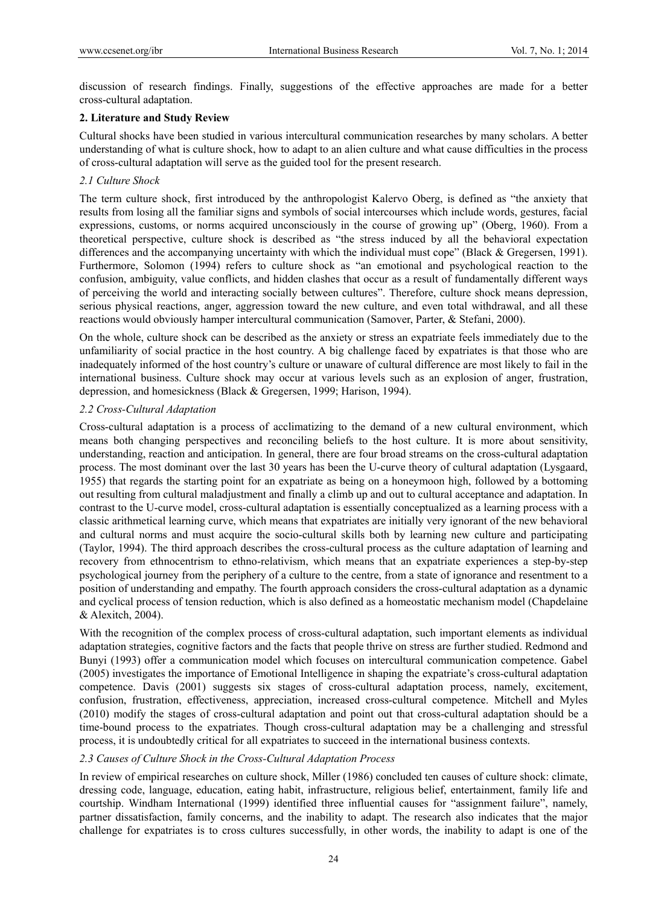discussion of research findings. Finally, suggestions of the effective approaches are made for a better cross-cultural adaptation.

# **2. Literature and Study Review**

Cultural shocks have been studied in various intercultural communication researches by many scholars. A better understanding of what is culture shock, how to adapt to an alien culture and what cause difficulties in the process of cross-cultural adaptation will serve as the guided tool for the present research.

# *2.1 Culture Shock*

The term culture shock, first introduced by the anthropologist Kalervo Oberg, is defined as "the anxiety that results from losing all the familiar signs and symbols of social intercourses which include words, gestures, facial expressions, customs, or norms acquired unconsciously in the course of growing up" (Oberg, 1960). From a theoretical perspective, culture shock is described as "the stress induced by all the behavioral expectation differences and the accompanying uncertainty with which the individual must cope" (Black & Gregersen, 1991). Furthermore, Solomon (1994) refers to culture shock as "an emotional and psychological reaction to the confusion, ambiguity, value conflicts, and hidden clashes that occur as a result of fundamentally different ways of perceiving the world and interacting socially between cultures". Therefore, culture shock means depression, serious physical reactions, anger, aggression toward the new culture, and even total withdrawal, and all these reactions would obviously hamper intercultural communication (Samover, Parter, & Stefani, 2000).

On the whole, culture shock can be described as the anxiety or stress an expatriate feels immediately due to the unfamiliarity of social practice in the host country. A big challenge faced by expatriates is that those who are inadequately informed of the host country's culture or unaware of cultural difference are most likely to fail in the international business. Culture shock may occur at various levels such as an explosion of anger, frustration, depression, and homesickness (Black & Gregersen, 1999; Harison, 1994).

## *2.2 Cross-Cultural Adaptation*

Cross-cultural adaptation is a process of acclimatizing to the demand of a new cultural environment, which means both changing perspectives and reconciling beliefs to the host culture. It is more about sensitivity, understanding, reaction and anticipation. In general, there are four broad streams on the cross-cultural adaptation process. The most dominant over the last 30 years has been the U-curve theory of cultural adaptation (Lysgaard, 1955) that regards the starting point for an expatriate as being on a honeymoon high, followed by a bottoming out resulting from cultural maladjustment and finally a climb up and out to cultural acceptance and adaptation. In contrast to the U-curve model, cross-cultural adaptation is essentially conceptualized as a learning process with a classic arithmetical learning curve, which means that expatriates are initially very ignorant of the new behavioral and cultural norms and must acquire the socio-cultural skills both by learning new culture and participating (Taylor, 1994). The third approach describes the cross-cultural process as the culture adaptation of learning and recovery from ethnocentrism to ethno-relativism, which means that an expatriate experiences a step-by-step psychological journey from the periphery of a culture to the centre, from a state of ignorance and resentment to a position of understanding and empathy. The fourth approach considers the cross-cultural adaptation as a dynamic and cyclical process of tension reduction, which is also defined as a homeostatic mechanism model (Chapdelaine & Alexitch, 2004).

With the recognition of the complex process of cross-cultural adaptation, such important elements as individual adaptation strategies, cognitive factors and the facts that people thrive on stress are further studied. Redmond and Bunyi (1993) offer a communication model which focuses on intercultural communication competence. Gabel (2005) investigates the importance of Emotional Intelligence in shaping the expatriate's cross-cultural adaptation competence. Davis (2001) suggests six stages of cross-cultural adaptation process, namely, excitement, confusion, frustration, effectiveness, appreciation, increased cross-cultural competence. Mitchell and Myles (2010) modify the stages of cross-cultural adaptation and point out that cross-cultural adaptation should be a time-bound process to the expatriates. Though cross-cultural adaptation may be a challenging and stressful process, it is undoubtedly critical for all expatriates to succeed in the international business contexts.

# *2.3 Causes of Culture Shock in the Cross-Cultural Adaptation Process*

In review of empirical researches on culture shock, Miller (1986) concluded ten causes of culture shock: climate, dressing code, language, education, eating habit, infrastructure, religious belief, entertainment, family life and courtship. Windham International (1999) identified three influential causes for "assignment failure", namely, partner dissatisfaction, family concerns, and the inability to adapt. The research also indicates that the major challenge for expatriates is to cross cultures successfully, in other words, the inability to adapt is one of the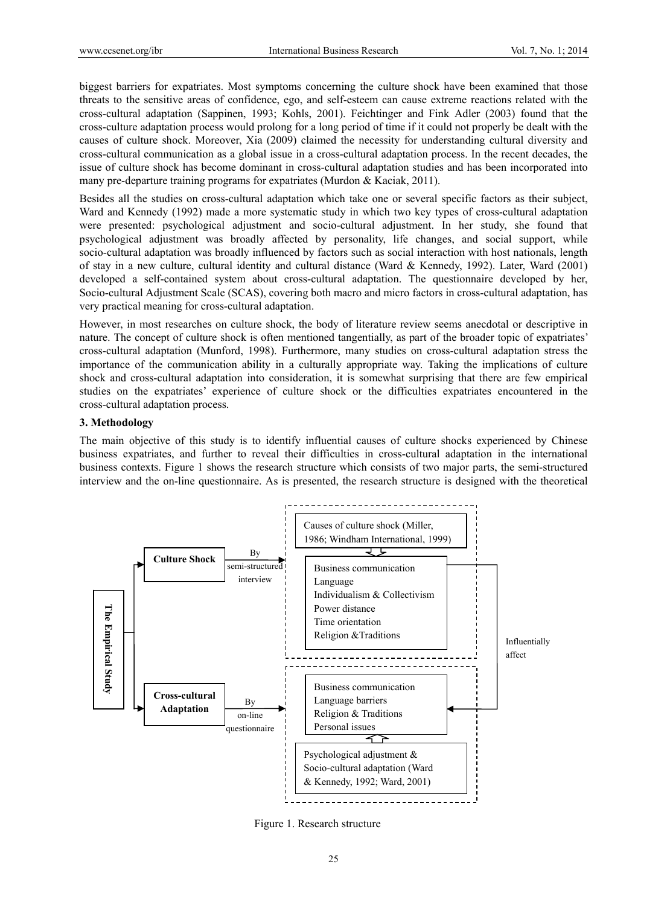biggest barriers for expatriates. Most symptoms concerning the culture shock have been examined that those threats to the sensitive areas of confidence, ego, and self-esteem can cause extreme reactions related with the cross-cultural adaptation (Sappinen, 1993; Kohls, 2001). Feichtinger and Fink Adler (2003) found that the cross-culture adaptation process would prolong for a long period of time if it could not properly be dealt with the causes of culture shock. Moreover, Xia (2009) claimed the necessity for understanding cultural diversity and cross-cultural communication as a global issue in a cross-cultural adaptation process. In the recent decades, the issue of culture shock has become dominant in cross-cultural adaptation studies and has been incorporated into many pre-departure training programs for expatriates (Murdon & Kaciak, 2011).

Besides all the studies on cross-cultural adaptation which take one or several specific factors as their subject, Ward and Kennedy (1992) made a more systematic study in which two key types of cross-cultural adaptation were presented: psychological adjustment and socio-cultural adjustment. In her study, she found that psychological adjustment was broadly affected by personality, life changes, and social support, while socio-cultural adaptation was broadly influenced by factors such as social interaction with host nationals, length of stay in a new culture, cultural identity and cultural distance (Ward & Kennedy, 1992). Later, Ward (2001) developed a self-contained system about cross-cultural adaptation. The questionnaire developed by her, Socio-cultural Adjustment Scale (SCAS), covering both macro and micro factors in cross-cultural adaptation, has very practical meaning for cross-cultural adaptation.

However, in most researches on culture shock, the body of literature review seems anecdotal or descriptive in nature. The concept of culture shock is often mentioned tangentially, as part of the broader topic of expatriates' cross-cultural adaptation (Munford, 1998). Furthermore, many studies on cross-cultural adaptation stress the importance of the communication ability in a culturally appropriate way. Taking the implications of culture shock and cross-cultural adaptation into consideration, it is somewhat surprising that there are few empirical studies on the expatriates' experience of culture shock or the difficulties expatriates encountered in the cross-cultural adaptation process.

## **3. Methodology**

The main objective of this study is to identify influential causes of culture shocks experienced by Chinese business expatriates, and further to reveal their difficulties in cross-cultural adaptation in the international business contexts. Figure 1 shows the research structure which consists of two major parts, the semi-structured interview and the on-line questionnaire. As is presented, the research structure is designed with the theoretical



Figure 1. Research structure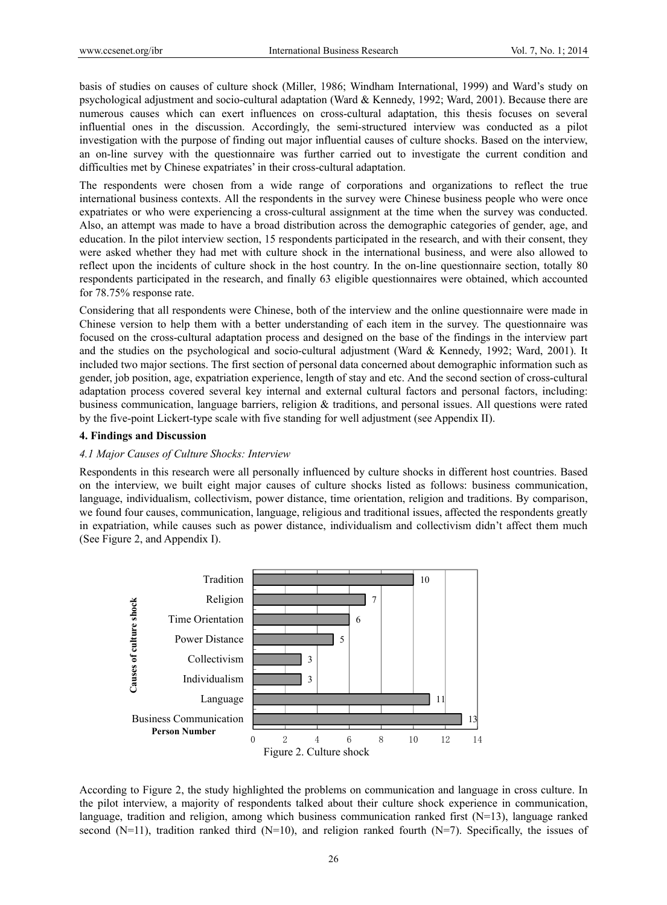basis of studies on causes of culture shock (Miller, 1986; Windham International, 1999) and Ward's study on psychological adjustment and socio-cultural adaptation (Ward & Kennedy, 1992; Ward, 2001). Because there are numerous causes which can exert influences on cross-cultural adaptation, this thesis focuses on several influential ones in the discussion. Accordingly, the semi-structured interview was conducted as a pilot investigation with the purpose of finding out major influential causes of culture shocks. Based on the interview, an on-line survey with the questionnaire was further carried out to investigate the current condition and difficulties met by Chinese expatriates' in their cross-cultural adaptation.

The respondents were chosen from a wide range of corporations and organizations to reflect the true international business contexts. All the respondents in the survey were Chinese business people who were once expatriates or who were experiencing a cross-cultural assignment at the time when the survey was conducted. Also, an attempt was made to have a broad distribution across the demographic categories of gender, age, and education. In the pilot interview section, 15 respondents participated in the research, and with their consent, they were asked whether they had met with culture shock in the international business, and were also allowed to reflect upon the incidents of culture shock in the host country. In the on-line questionnaire section, totally 80 respondents participated in the research, and finally 63 eligible questionnaires were obtained, which accounted for 78.75% response rate.

Considering that all respondents were Chinese, both of the interview and the online questionnaire were made in Chinese version to help them with a better understanding of each item in the survey. The questionnaire was focused on the cross-cultural adaptation process and designed on the base of the findings in the interview part and the studies on the psychological and socio-cultural adjustment (Ward & Kennedy, 1992; Ward, 2001). It included two major sections. The first section of personal data concerned about demographic information such as gender, job position, age, expatriation experience, length of stay and etc. And the second section of cross-cultural adaptation process covered several key internal and external cultural factors and personal factors, including: business communication, language barriers, religion & traditions, and personal issues. All questions were rated by the five-point Lickert-type scale with five standing for well adjustment (see Appendix II).

#### **4. Findings and Discussion**

#### *4.1 Major Causes of Culture Shocks: Interview*

Respondents in this research were all personally influenced by culture shocks in different host countries. Based on the interview, we built eight major causes of culture shocks listed as follows: business communication, language, individualism, collectivism, power distance, time orientation, religion and traditions. By comparison, we found four causes, communication, language, religious and traditional issues, affected the respondents greatly in expatriation, while causes such as power distance, individualism and collectivism didn't affect them much (See Figure 2, and Appendix I).



According to Figure 2, the study highlighted the problems on communication and language in cross culture. In the pilot interview, a majority of respondents talked about their culture shock experience in communication, language, tradition and religion, among which business communication ranked first (N=13), language ranked second (N=11), tradition ranked third (N=10), and religion ranked fourth (N=7). Specifically, the issues of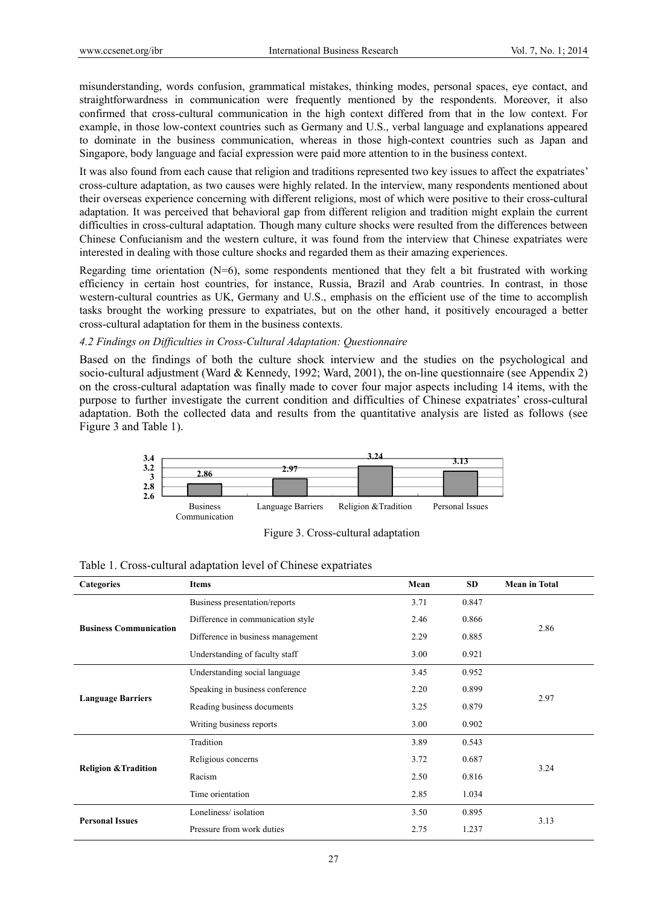misunderstanding, words confusion, grammatical mistakes, thinking modes, personal spaces, eye contact, and straightforwardness in communication were frequently mentioned by the respondents. Moreover, it also confirmed that cross-cultural communication in the high context differed from that in the low context. For example, in those low-context countries such as Germany and U.S., verbal language and explanations appeared to dominate in the business communication, whereas in those high-context countries such as Japan and Singapore, body language and facial expression were paid more attention to in the business context.

It was also found from each cause that religion and traditions represented two key issues to affect the expatriates' cross-culture adaptation, as two causes were highly related. In the interview, many respondents mentioned about their overseas experience concerning with different religions, most of which were positive to their cross-cultural adaptation. It was perceived that behavioral gap from different religion and tradition might explain the current difficulties in cross-cultural adaptation. Though many culture shocks were resulted from the differences between Chinese Confucianism and the western culture, it was found from the interview that Chinese expatriates were interested in dealing with those culture shocks and regarded them as their amazing experiences.

Regarding time orientation  $(N=6)$ , some respondents mentioned that they felt a bit frustrated with working efficiency in certain host countries, for instance, Russia, Brazil and Arab countries. In contrast, in those western-cultural countries as UK, Germany and U.S., emphasis on the efficient use of the time to accomplish tasks brought the working pressure to expatriates, but on the other hand, it positively encouraged a better cross-cultural adaptation for them in the business contexts.

## *4.2 Findings on Difficulties in Cross-Cultural Adaptation: Questionnaire*

Based on the findings of both the culture shock interview and the studies on the psychological and socio-cultural adjustment (Ward & Kennedy, 1992; Ward, 2001), the on-line questionnaire (see Appendix 2) on the cross-cultural adaptation was finally made to cover four major aspects including 14 items, with the purpose to further investigate the current condition and difficulties of Chinese expatriates' cross-cultural adaptation. Both the collected data and results from the quantitative analysis are listed as follows (see Figure 3 and Table 1).



Figure 3. Cross-cultural adaptation

| Table 1. Cross-cultural adaptation level of Chinese expatriates |  |
|-----------------------------------------------------------------|--|
|-----------------------------------------------------------------|--|

| Categories                      | <b>Items</b>                      | Mean | <b>SD</b> | <b>Mean in Total</b> |  |
|---------------------------------|-----------------------------------|------|-----------|----------------------|--|
| <b>Business Communication</b>   | Business presentation/reports     | 3.71 | 0.847     | 2.86                 |  |
|                                 | Difference in communication style | 2.46 | 0.866     |                      |  |
|                                 | Difference in business management | 2.29 | 0.885     |                      |  |
|                                 | Understanding of faculty staff    | 3.00 | 0.921     |                      |  |
| <b>Language Barriers</b>        | Understanding social language     | 3.45 | 0.952     | 2.97                 |  |
|                                 | Speaking in business conference   | 2.20 | 0.899     |                      |  |
|                                 | Reading business documents        | 3.25 | 0.879     |                      |  |
|                                 | Writing business reports          | 3.00 | 0.902     |                      |  |
| <b>Religion &amp; Tradition</b> | Tradition                         | 3.89 | 0.543     |                      |  |
|                                 | Religious concerns                | 3.72 | 0.687     | 3.24                 |  |
|                                 | Racism                            | 2.50 | 0.816     |                      |  |
|                                 | Time orientation                  | 2.85 | 1.034     |                      |  |
| <b>Personal Issues</b>          | Loneliness/isolation              | 3.50 | 0.895     | 3.13                 |  |
|                                 | Pressure from work duties         | 2.75 | 1.237     |                      |  |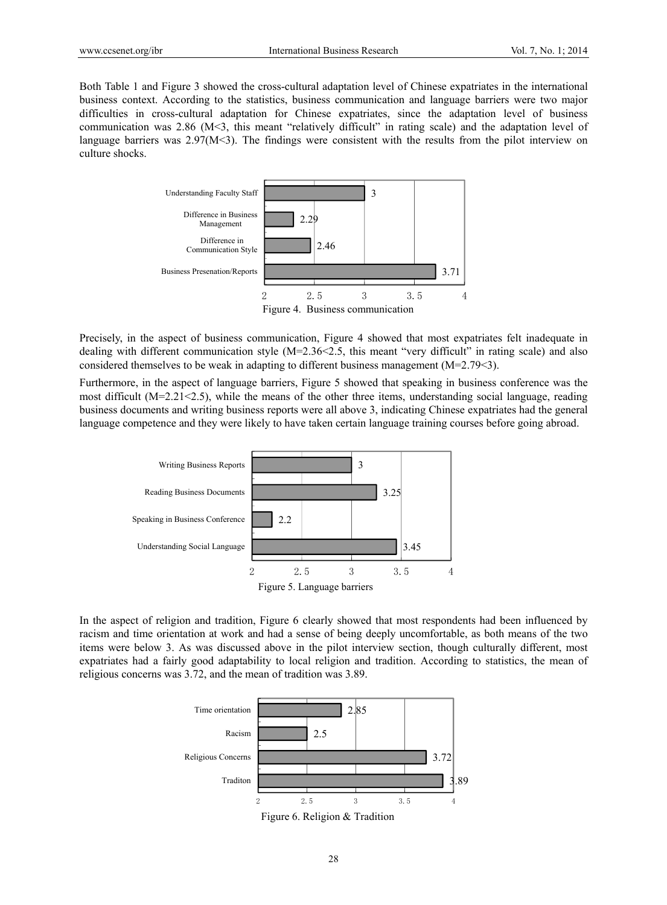Both Table 1 and Figure 3 showed the cross-cultural adaptation level of Chinese expatriates in the international business context. According to the statistics, business communication and language barriers were two major difficulties in cross-cultural adaptation for Chinese expatriates, since the adaptation level of business communication was 2.86 (M<3, this meant "relatively difficult" in rating scale) and the adaptation level of language barriers was  $2.97(M<sub>3</sub>)$ . The findings were consistent with the results from the pilot interview on culture shocks.



Precisely, in the aspect of business communication, Figure 4 showed that most expatriates felt inadequate in dealing with different communication style (M=2.36<2.5, this meant "very difficult" in rating scale) and also considered themselves to be weak in adapting to different business management (M=2.79<3).

Furthermore, in the aspect of language barriers, Figure 5 showed that speaking in business conference was the most difficult (M=2.21<2.5), while the means of the other three items, understanding social language, reading business documents and writing business reports were all above 3, indicating Chinese expatriates had the general language competence and they were likely to have taken certain language training courses before going abroad.



In the aspect of religion and tradition, Figure 6 clearly showed that most respondents had been influenced by racism and time orientation at work and had a sense of being deeply uncomfortable, as both means of the two items were below 3. As was discussed above in the pilot interview section, though culturally different, most expatriates had a fairly good adaptability to local religion and tradition. According to statistics, the mean of religious concerns was 3.72, and the mean of tradition was 3.89.



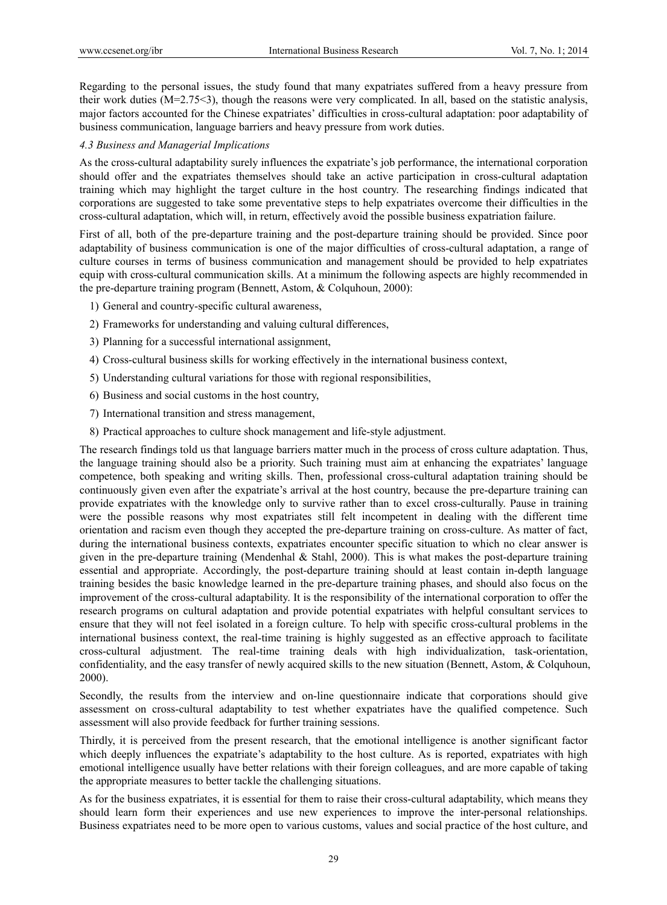Regarding to the personal issues, the study found that many expatriates suffered from a heavy pressure from their work duties (M=2.75<3), though the reasons were very complicated. In all, based on the statistic analysis, major factors accounted for the Chinese expatriates' difficulties in cross-cultural adaptation: poor adaptability of business communication, language barriers and heavy pressure from work duties.

#### *4.3 Business and Managerial Implications*

As the cross-cultural adaptability surely influences the expatriate's job performance, the international corporation should offer and the expatriates themselves should take an active participation in cross-cultural adaptation training which may highlight the target culture in the host country. The researching findings indicated that corporations are suggested to take some preventative steps to help expatriates overcome their difficulties in the cross-cultural adaptation, which will, in return, effectively avoid the possible business expatriation failure.

First of all, both of the pre-departure training and the post-departure training should be provided. Since poor adaptability of business communication is one of the major difficulties of cross-cultural adaptation, a range of culture courses in terms of business communication and management should be provided to help expatriates equip with cross-cultural communication skills. At a minimum the following aspects are highly recommended in the pre-departure training program (Bennett, Astom, & Colquhoun, 2000):

- 1) General and country-specific cultural awareness,
- 2) Frameworks for understanding and valuing cultural differences,
- 3) Planning for a successful international assignment,
- 4) Cross-cultural business skills for working effectively in the international business context,
- 5) Understanding cultural variations for those with regional responsibilities,
- 6) Business and social customs in the host country,
- 7) International transition and stress management,
- 8) Practical approaches to culture shock management and life-style adjustment.

The research findings told us that language barriers matter much in the process of cross culture adaptation. Thus, the language training should also be a priority. Such training must aim at enhancing the expatriates' language competence, both speaking and writing skills. Then, professional cross-cultural adaptation training should be continuously given even after the expatriate's arrival at the host country, because the pre-departure training can provide expatriates with the knowledge only to survive rather than to excel cross-culturally. Pause in training were the possible reasons why most expatriates still felt incompetent in dealing with the different time orientation and racism even though they accepted the pre-departure training on cross-culture. As matter of fact, during the international business contexts, expatriates encounter specific situation to which no clear answer is given in the pre-departure training (Mendenhal & Stahl, 2000). This is what makes the post-departure training essential and appropriate. Accordingly, the post-departure training should at least contain in-depth language training besides the basic knowledge learned in the pre-departure training phases, and should also focus on the improvement of the cross-cultural adaptability. It is the responsibility of the international corporation to offer the research programs on cultural adaptation and provide potential expatriates with helpful consultant services to ensure that they will not feel isolated in a foreign culture. To help with specific cross-cultural problems in the international business context, the real-time training is highly suggested as an effective approach to facilitate cross-cultural adjustment. The real-time training deals with high individualization, task-orientation, confidentiality, and the easy transfer of newly acquired skills to the new situation (Bennett, Astom, & Colquhoun, 2000).

Secondly, the results from the interview and on-line questionnaire indicate that corporations should give assessment on cross-cultural adaptability to test whether expatriates have the qualified competence. Such assessment will also provide feedback for further training sessions.

Thirdly, it is perceived from the present research, that the emotional intelligence is another significant factor which deeply influences the expatriate's adaptability to the host culture. As is reported, expatriates with high emotional intelligence usually have better relations with their foreign colleagues, and are more capable of taking the appropriate measures to better tackle the challenging situations.

As for the business expatriates, it is essential for them to raise their cross-cultural adaptability, which means they should learn form their experiences and use new experiences to improve the inter-personal relationships. Business expatriates need to be more open to various customs, values and social practice of the host culture, and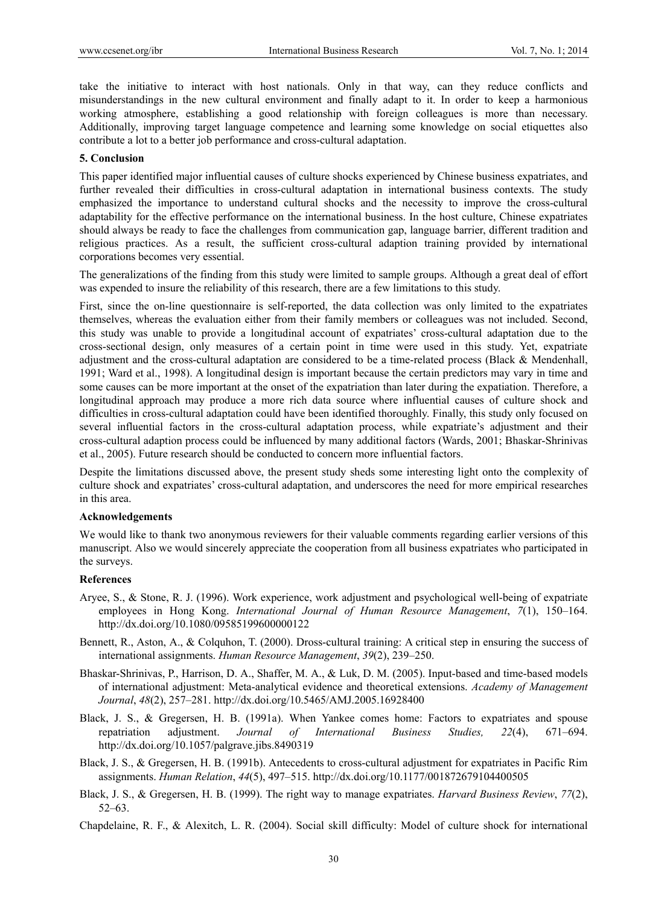take the initiative to interact with host nationals. Only in that way, can they reduce conflicts and misunderstandings in the new cultural environment and finally adapt to it. In order to keep a harmonious working atmosphere, establishing a good relationship with foreign colleagues is more than necessary. Additionally, improving target language competence and learning some knowledge on social etiquettes also contribute a lot to a better job performance and cross-cultural adaptation.

#### **5. Conclusion**

This paper identified major influential causes of culture shocks experienced by Chinese business expatriates, and further revealed their difficulties in cross-cultural adaptation in international business contexts. The study emphasized the importance to understand cultural shocks and the necessity to improve the cross-cultural adaptability for the effective performance on the international business. In the host culture, Chinese expatriates should always be ready to face the challenges from communication gap, language barrier, different tradition and religious practices. As a result, the sufficient cross-cultural adaption training provided by international corporations becomes very essential.

The generalizations of the finding from this study were limited to sample groups. Although a great deal of effort was expended to insure the reliability of this research, there are a few limitations to this study.

First, since the on-line questionnaire is self-reported, the data collection was only limited to the expatriates themselves, whereas the evaluation either from their family members or colleagues was not included. Second, this study was unable to provide a longitudinal account of expatriates' cross-cultural adaptation due to the cross-sectional design, only measures of a certain point in time were used in this study. Yet, expatriate adjustment and the cross-cultural adaptation are considered to be a time-related process (Black & Mendenhall, 1991; Ward et al., 1998). A longitudinal design is important because the certain predictors may vary in time and some causes can be more important at the onset of the expatriation than later during the expatiation. Therefore, a longitudinal approach may produce a more rich data source where influential causes of culture shock and difficulties in cross-cultural adaptation could have been identified thoroughly. Finally, this study only focused on several influential factors in the cross-cultural adaptation process, while expatriate's adjustment and their cross-cultural adaption process could be influenced by many additional factors (Wards, 2001; Bhaskar-Shrinivas et al., 2005). Future research should be conducted to concern more influential factors.

Despite the limitations discussed above, the present study sheds some interesting light onto the complexity of culture shock and expatriates' cross-cultural adaptation, and underscores the need for more empirical researches in this area.

#### **Acknowledgements**

We would like to thank two anonymous reviewers for their valuable comments regarding earlier versions of this manuscript. Also we would sincerely appreciate the cooperation from all business expatriates who participated in the surveys.

#### **References**

- Aryee, S., & Stone, R. J. (1996). Work experience, work adjustment and psychological well-being of expatriate employees in Hong Kong. *International Journal of Human Resource Management*, *7*(1), 150–164. http://dx.doi.org/10.1080/09585199600000122
- Bennett, R., Aston, A., & Colquhon, T. (2000). Dross-cultural training: A critical step in ensuring the success of international assignments. *Human Resource Management*, *39*(2), 239–250.
- Bhaskar-Shrinivas, P., Harrison, D. A., Shaffer, M. A., & Luk, D. M. (2005). Input-based and time-based models of international adjustment: Meta-analytical evidence and theoretical extensions. *Academy of Management Journal*, *48*(2), 257–281. http://dx.doi.org/10.5465/AMJ.2005.16928400
- Black, J. S., & Gregersen, H. B. (1991a). When Yankee comes home: Factors to expatriates and spouse repatriation adjustment. *Journal of International Business Studies, 22*(4), 671–694. http://dx.doi.org/10.1057/palgrave.jibs.8490319
- Black, J. S., & Gregersen, H. B. (1991b). Antecedents to cross-cultural adjustment for expatriates in Pacific Rim assignments. *Human Relation*, *44*(5), 497–515. http://dx.doi.org/10.1177/001872679104400505
- Black, J. S., & Gregersen, H. B. (1999). The right way to manage expatriates. *Harvard Business Review*, *77*(2), 52–63.
- Chapdelaine, R. F., & Alexitch, L. R. (2004). Social skill difficulty: Model of culture shock for international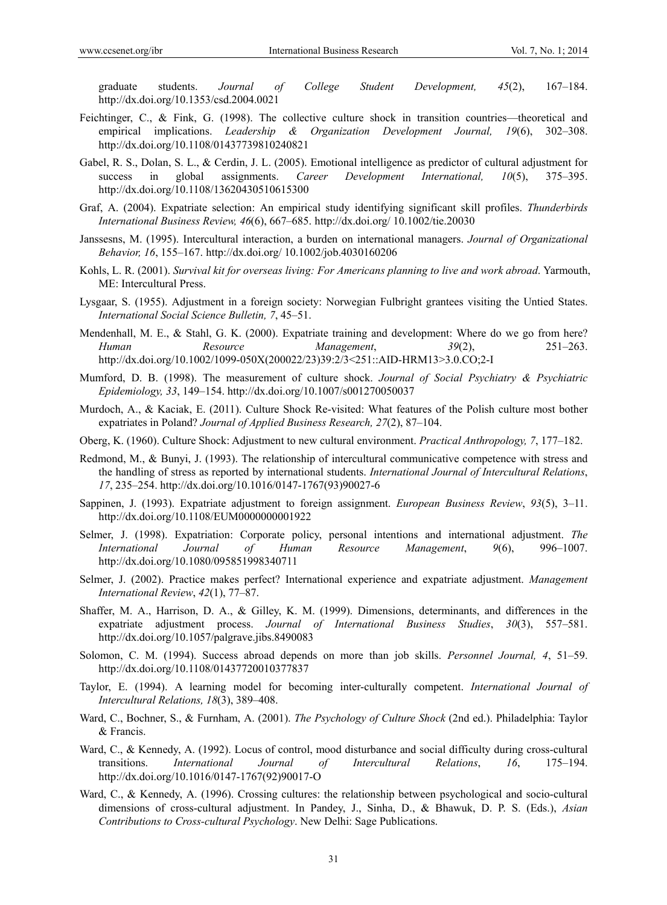graduate students. *Journal of College Student Development, 45*(2), 167–184. http://dx.doi.org/10.1353/csd.2004.0021

- Feichtinger, C., & Fink, G. (1998). The collective culture shock in transition countries—theoretical and empirical implications. *Leadership & Organization Development Journal, 19*(6), 302–308. http://dx.doi.org/10.1108/01437739810240821
- Gabel, R. S., Dolan, S. L., & Cerdin, J. L. (2005). Emotional intelligence as predictor of cultural adjustment for success in global assignments. *Career Development International, 10*(5), 375–395. http://dx.doi.org/10.1108/13620430510615300
- Graf, A. (2004). Expatriate selection: An empirical study identifying significant skill profiles. *Thunderbirds International Business Review, 46*(6), 667–685. http://dx.doi.org/ 10.1002/tie.20030
- Janssesns, M. (1995). Intercultural interaction, a burden on international managers. *Journal of Organizational Behavior, 16*, 155–167. http://dx.doi.org/ 10.1002/job.4030160206
- Kohls, L. R. (2001). *Survival kit for overseas living: For Americans planning to live and work abroad*. Yarmouth, ME: Intercultural Press.
- Lysgaar, S. (1955). Adjustment in a foreign society: Norwegian Fulbright grantees visiting the Untied States. *International Social Science Bulletin, 7*, 45–51.
- Mendenhall, M. E., & Stahl, G. K. (2000). Expatriate training and development: Where do we go from here? *Human Resource Management*, *39*(2), 251–263. http://dx.doi.org/10.1002/1099-050X(200022/23)39:2/3<251::AID-HRM13>3.0.CO;2-I
- Mumford, D. B. (1998). The measurement of culture shock. *Journal of Social Psychiatry & Psychiatric Epidemiology, 33*, 149–154. http://dx.doi.org/10.1007/s001270050037
- Murdoch, A., & Kaciak, E. (2011). Culture Shock Re-visited: What features of the Polish culture most bother expatriates in Poland? *Journal of Applied Business Research, 27*(2), 87–104.
- Oberg, K. (1960). Culture Shock: Adjustment to new cultural environment. *Practical Anthropology, 7*, 177–182.
- Redmond, M., & Bunyi, J. (1993). The relationship of intercultural communicative competence with stress and the handling of stress as reported by international students. *International Journal of Intercultural Relations*, *17*, 235–254. http://dx.doi.org/10.1016/0147-1767(93)90027-6
- Sappinen, J. (1993). Expatriate adjustment to foreign assignment. *European Business Review*, *93*(5), 3–11. http://dx.doi.org/10.1108/EUM0000000001922
- Selmer, J. (1998). Expatriation: Corporate policy, personal intentions and international adjustment. *The International Journal of Human Resource Management*, *9*(6), 996–1007. http://dx.doi.org/10.1080/095851998340711
- Selmer, J. (2002). Practice makes perfect? International experience and expatriate adjustment. *Management International Review*, *42*(1), 77–87.
- Shaffer, M. A., Harrison, D. A., & Gilley, K. M. (1999). Dimensions, determinants, and differences in the expatriate adjustment process. *Journal of International Business Studies*, *30*(3), 557–581. http://dx.doi.org/10.1057/palgrave.jibs.8490083
- Solomon, C. M. (1994). Success abroad depends on more than job skills. *Personnel Journal, 4*, 51–59. http://dx.doi.org/10.1108/01437720010377837
- Taylor, E. (1994). A learning model for becoming inter-culturally competent. *International Journal of Intercultural Relations, 18*(3), 389–408.
- Ward, C., Bochner, S., & Furnham, A. (2001). *The Psychology of Culture Shock* (2nd ed.). Philadelphia: Taylor & Francis.
- Ward, C., & Kennedy, A. (1992). Locus of control, mood disturbance and social difficulty during cross-cultural transitions. *International Journal of Intercultural Relations*, *16*, 175–194. http://dx.doi.org/10.1016/0147-1767(92)90017-O
- Ward, C., & Kennedy, A. (1996). Crossing cultures: the relationship between psychological and socio-cultural dimensions of cross-cultural adjustment. In Pandey, J., Sinha, D., & Bhawuk, D. P. S. (Eds.), *Asian Contributions to Cross-cultural Psychology*. New Delhi: Sage Publications.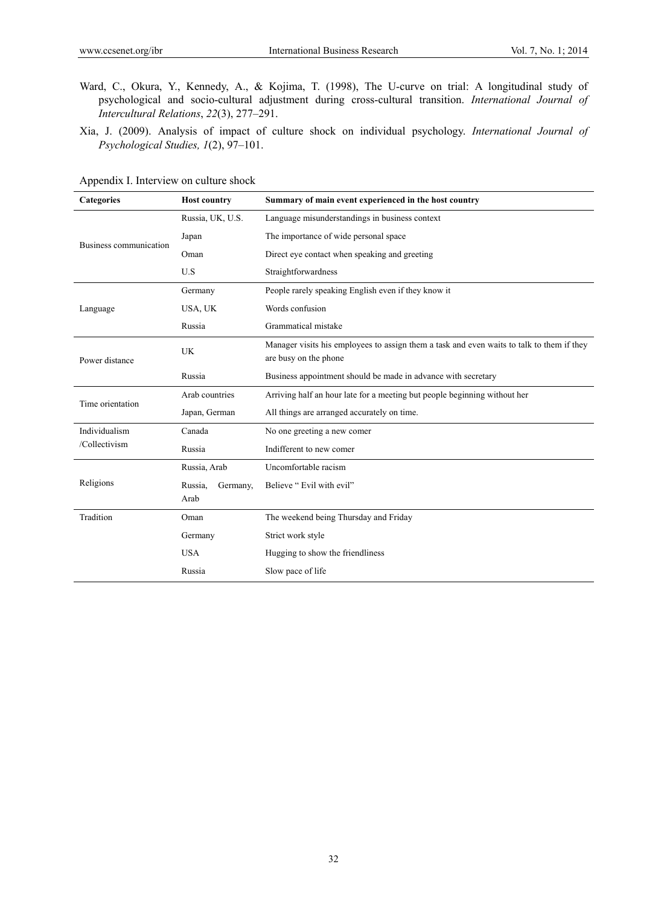- Ward, C., Okura, Y., Kennedy, A., & Kojima, T. (1998), The U-curve on trial: A longitudinal study of psychological and socio-cultural adjustment during cross-cultural transition. *International Journal of Intercultural Relations*, *22*(3), 277–291.
- Xia, J. (2009). Analysis of impact of culture shock on individual psychology. *International Journal of Psychological Studies, 1*(2), 97–101.

| <b>Categories</b>      | <b>Host country</b> | Summary of main event experienced in the host country                                     |  |
|------------------------|---------------------|-------------------------------------------------------------------------------------------|--|
|                        | Russia, UK, U.S.    | Language misunderstandings in business context                                            |  |
| Business communication | Japan               | The importance of wide personal space                                                     |  |
|                        | Oman                | Direct eye contact when speaking and greeting                                             |  |
|                        | U.S                 | Straightforwardness                                                                       |  |
|                        | Germany             | People rarely speaking English even if they know it                                       |  |
| Language               | USA, UK             | Words confusion                                                                           |  |
|                        | Russia              | Grammatical mistake                                                                       |  |
| Power distance         | <b>UK</b>           | Manager visits his employees to assign them a task and even waits to talk to them if they |  |
|                        |                     | are busy on the phone                                                                     |  |
|                        | Russia              | Business appointment should be made in advance with secretary                             |  |
| Time orientation       | Arab countries      | Arriving half an hour late for a meeting but people beginning without her                 |  |
|                        | Japan, German       | All things are arranged accurately on time.                                               |  |
| Individualism          | Canada              | No one greeting a new comer                                                               |  |
| /Collectivism          | Russia              | Indifferent to new comer                                                                  |  |
| Religions              | Russia, Arab        | Uncomfortable racism                                                                      |  |
|                        | Russia,<br>Germany, | Believe " Evil with evil"                                                                 |  |
|                        | Arab                |                                                                                           |  |
| Tradition              | Oman                | The weekend being Thursday and Friday                                                     |  |
|                        | Germany             | Strict work style                                                                         |  |
|                        | <b>USA</b>          | Hugging to show the friendliness                                                          |  |
|                        | Russia              | Slow pace of life                                                                         |  |

Appendix I. Interview on culture shock